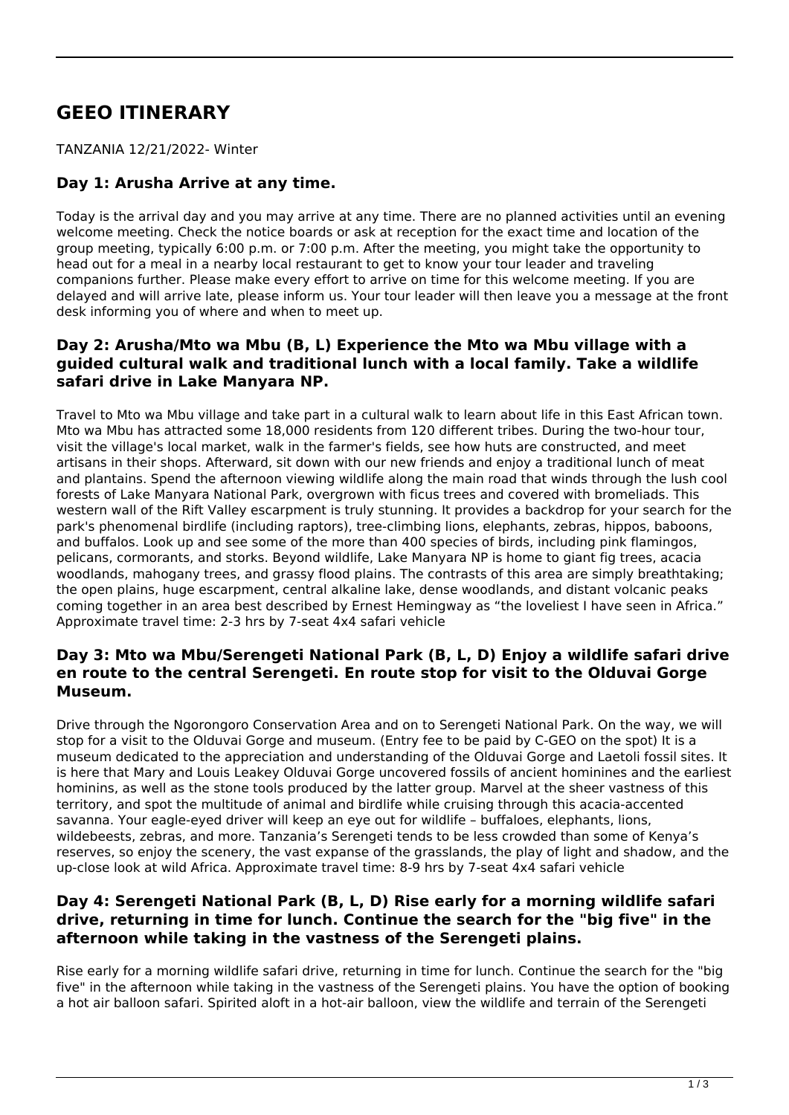# **GEEO ITINERARY**

TANZANIA 12/21/2022- Winter

# **Day 1: Arusha Arrive at any time.**

Today is the arrival day and you may arrive at any time. There are no planned activities until an evening welcome meeting. Check the notice boards or ask at reception for the exact time and location of the group meeting, typically 6:00 p.m. or 7:00 p.m. After the meeting, you might take the opportunity to head out for a meal in a nearby local restaurant to get to know your tour leader and traveling companions further. Please make every effort to arrive on time for this welcome meeting. If you are delayed and will arrive late, please inform us. Your tour leader will then leave you a message at the front desk informing you of where and when to meet up.

## **Day 2: Arusha/Mto wa Mbu (B, L) Experience the Mto wa Mbu village with a guided cultural walk and traditional lunch with a local family. Take a wildlife safari drive in Lake Manyara NP.**

Travel to Mto wa Mbu village and take part in a cultural walk to learn about life in this East African town. Mto wa Mbu has attracted some 18,000 residents from 120 different tribes. During the two-hour tour, visit the village's local market, walk in the farmer's fields, see how huts are constructed, and meet artisans in their shops. Afterward, sit down with our new friends and enjoy a traditional lunch of meat and plantains. Spend the afternoon viewing wildlife along the main road that winds through the lush cool forests of Lake Manyara National Park, overgrown with ficus trees and covered with bromeliads. This western wall of the Rift Valley escarpment is truly stunning. It provides a backdrop for your search for the park's phenomenal birdlife (including raptors), tree-climbing lions, elephants, zebras, hippos, baboons, and buffalos. Look up and see some of the more than 400 species of birds, including pink flamingos, pelicans, cormorants, and storks. Beyond wildlife, Lake Manyara NP is home to giant fig trees, acacia woodlands, mahogany trees, and grassy flood plains. The contrasts of this area are simply breathtaking; the open plains, huge escarpment, central alkaline lake, dense woodlands, and distant volcanic peaks coming together in an area best described by Ernest Hemingway as "the loveliest I have seen in Africa." Approximate travel time: 2-3 hrs by 7-seat 4x4 safari vehicle

## **Day 3: Mto wa Mbu/Serengeti National Park (B, L, D) Enjoy a wildlife safari drive en route to the central Serengeti. En route stop for visit to the Olduvai Gorge Museum.**

Drive through the Ngorongoro Conservation Area and on to Serengeti National Park. On the way, we will stop for a visit to the Olduvai Gorge and museum. (Entry fee to be paid by C-GEO on the spot) It is a museum dedicated to the appreciation and understanding of the Olduvai Gorge and Laetoli fossil sites. It is here that Mary and Louis Leakey Olduvai Gorge uncovered fossils of ancient hominines and the earliest hominins, as well as the stone tools produced by the latter group. Marvel at the sheer vastness of this territory, and spot the multitude of animal and birdlife while cruising through this acacia-accented savanna. Your eagle-eyed driver will keep an eye out for wildlife – buffaloes, elephants, lions, wildebeests, zebras, and more. Tanzania's Serengeti tends to be less crowded than some of Kenya's reserves, so enjoy the scenery, the vast expanse of the grasslands, the play of light and shadow, and the up-close look at wild Africa. Approximate travel time: 8-9 hrs by 7-seat 4x4 safari vehicle

## **Day 4: Serengeti National Park (B, L, D) Rise early for a morning wildlife safari drive, returning in time for lunch. Continue the search for the "big five" in the afternoon while taking in the vastness of the Serengeti plains.**

Rise early for a morning wildlife safari drive, returning in time for lunch. Continue the search for the "big five" in the afternoon while taking in the vastness of the Serengeti plains. You have the option of booking a hot air balloon safari. Spirited aloft in a hot-air balloon, view the wildlife and terrain of the Serengeti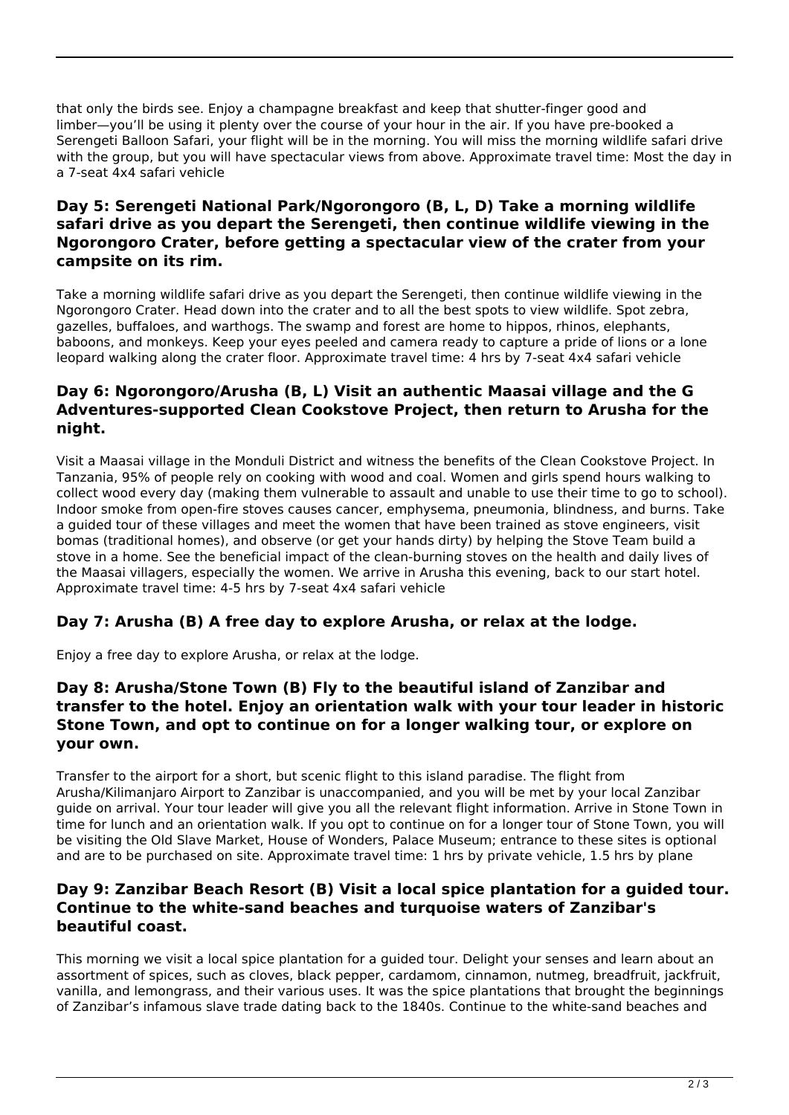that only the birds see. Enjoy a champagne breakfast and keep that shutter-finger good and limber—you'll be using it plenty over the course of your hour in the air. If you have pre-booked a Serengeti Balloon Safari, your flight will be in the morning. You will miss the morning wildlife safari drive with the group, but you will have spectacular views from above. Approximate travel time: Most the day in a 7-seat 4x4 safari vehicle

## **Day 5: Serengeti National Park/Ngorongoro (B, L, D) Take a morning wildlife safari drive as you depart the Serengeti, then continue wildlife viewing in the Ngorongoro Crater, before getting a spectacular view of the crater from your campsite on its rim.**

Take a morning wildlife safari drive as you depart the Serengeti, then continue wildlife viewing in the Ngorongoro Crater. Head down into the crater and to all the best spots to view wildlife. Spot zebra, gazelles, buffaloes, and warthogs. The swamp and forest are home to hippos, rhinos, elephants, baboons, and monkeys. Keep your eyes peeled and camera ready to capture a pride of lions or a lone leopard walking along the crater floor. Approximate travel time: 4 hrs by 7-seat 4x4 safari vehicle

# **Day 6: Ngorongoro/Arusha (B, L) Visit an authentic Maasai village and the G Adventures-supported Clean Cookstove Project, then return to Arusha for the night.**

Visit a Maasai village in the Monduli District and witness the benefits of the Clean Cookstove Project. In Tanzania, 95% of people rely on cooking with wood and coal. Women and girls spend hours walking to collect wood every day (making them vulnerable to assault and unable to use their time to go to school). Indoor smoke from open-fire stoves causes cancer, emphysema, pneumonia, blindness, and burns. Take a guided tour of these villages and meet the women that have been trained as stove engineers, visit bomas (traditional homes), and observe (or get your hands dirty) by helping the Stove Team build a stove in a home. See the beneficial impact of the clean-burning stoves on the health and daily lives of the Maasai villagers, especially the women. We arrive in Arusha this evening, back to our start hotel. Approximate travel time: 4-5 hrs by 7-seat 4x4 safari vehicle

# **Day 7: Arusha (B) A free day to explore Arusha, or relax at the lodge.**

Enjoy a free day to explore Arusha, or relax at the lodge.

## **Day 8: Arusha/Stone Town (B) Fly to the beautiful island of Zanzibar and transfer to the hotel. Enjoy an orientation walk with your tour leader in historic Stone Town, and opt to continue on for a longer walking tour, or explore on your own.**

Transfer to the airport for a short, but scenic flight to this island paradise. The flight from Arusha/Kilimanjaro Airport to Zanzibar is unaccompanied, and you will be met by your local Zanzibar guide on arrival. Your tour leader will give you all the relevant flight information. Arrive in Stone Town in time for lunch and an orientation walk. If you opt to continue on for a longer tour of Stone Town, you will be visiting the Old Slave Market, House of Wonders, Palace Museum; entrance to these sites is optional and are to be purchased on site. Approximate travel time: 1 hrs by private vehicle, 1.5 hrs by plane

#### **Day 9: Zanzibar Beach Resort (B) Visit a local spice plantation for a guided tour. Continue to the white-sand beaches and turquoise waters of Zanzibar's beautiful coast.**

This morning we visit a local spice plantation for a guided tour. Delight your senses and learn about an assortment of spices, such as cloves, black pepper, cardamom, cinnamon, nutmeg, breadfruit, jackfruit, vanilla, and lemongrass, and their various uses. It was the spice plantations that brought the beginnings of Zanzibar's infamous slave trade dating back to the 1840s. Continue to the white-sand beaches and